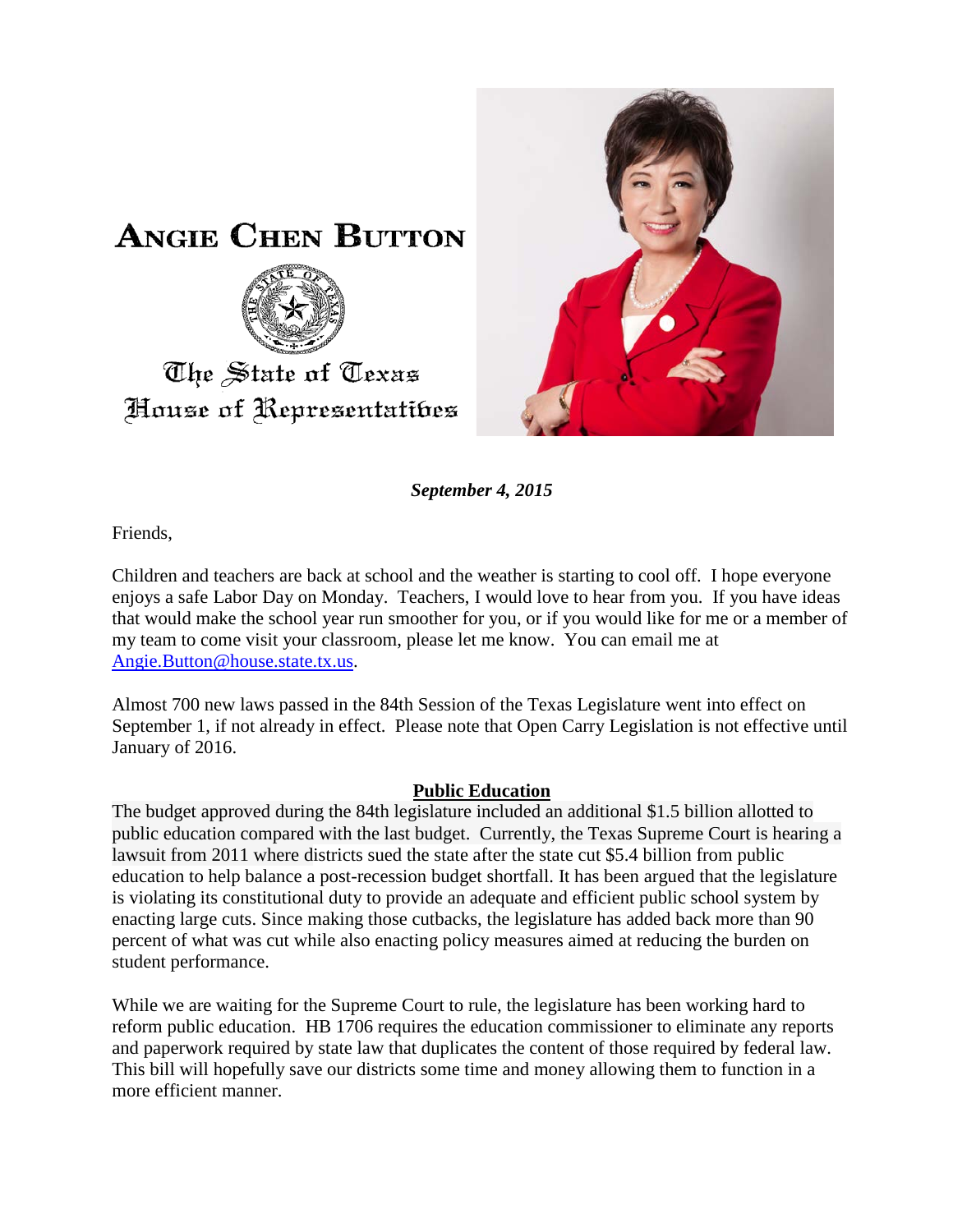



*September 4, 2015*

Friends,

Children and teachers are back at school and the weather is starting to cool off. I hope everyone enjoys a safe Labor Day on Monday. Teachers, I would love to hear from you. If you have ideas that would make the school year run smoother for you, or if you would like for me or a member of my team to come visit your classroom, please let me know. You can email me at [Angie.Button@house.state.tx.us.](mailto:Angie.Button@house.state.tx.us)

Almost 700 new laws passed in the 84th Session of the Texas Legislature went into effect on September 1, if not already in effect. Please note that Open Carry Legislation is not effective until January of 2016.

## **Public Education**

The budget approved during the 84th legislature included an additional \$1.5 billion allotted to public education compared with the last budget. Currently, the Texas Supreme Court is hearing a lawsuit from 2011 where districts sued the state after the state cut \$5.4 billion from public education to help balance a post-recession budget shortfall. It has been argued that the legislature is violating its constitutional duty to provide an adequate and efficient public school system by enacting large cuts. Since making those cutbacks, the legislature has added back more than 90 percent of what was cut while also enacting policy measures aimed at reducing the burden on student performance.

While we are waiting for the Supreme Court to rule, the legislature has been working hard to reform public education. HB 1706 requires the education commissioner to eliminate any reports and paperwork required by state law that duplicates the content of those required by federal law. This bill will hopefully save our districts some time and money allowing them to function in a more efficient manner.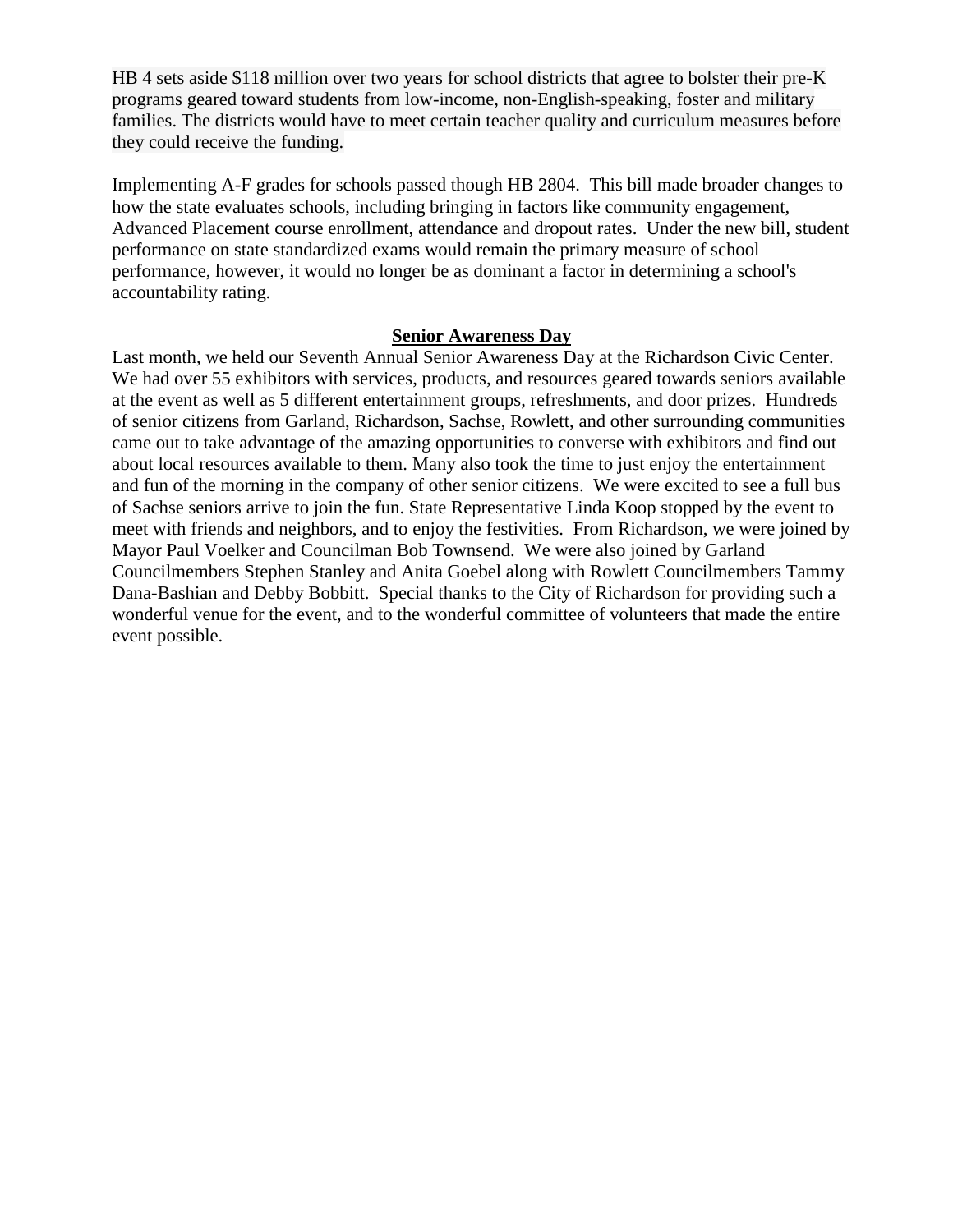HB 4 sets aside \$118 million over two years for school districts that agree to bolster their pre-K programs geared toward students from low-income, non-English-speaking, foster and military families. The districts would have to meet certain teacher quality and curriculum measures before they could receive the funding.

Implementing A-F grades for schools passed though HB 2804. This bill made broader changes to how the state evaluates schools, including bringing in factors like community engagement, Advanced Placement course enrollment, attendance and dropout rates. Under the new bill, student performance on state standardized exams would remain the primary measure of school performance, however, it would no longer be as dominant a factor in determining a school's accountability rating.

## **Senior Awareness Day**

Last month, we held our Seventh Annual Senior Awareness Day at the Richardson Civic Center. We had over 55 exhibitors with services, products, and resources geared towards seniors available at the event as well as 5 different entertainment groups, refreshments, and door prizes. Hundreds of senior citizens from Garland, Richardson, Sachse, Rowlett, and other surrounding communities came out to take advantage of the amazing opportunities to converse with exhibitors and find out about local resources available to them. Many also took the time to just enjoy the entertainment and fun of the morning in the company of other senior citizens. We were excited to see a full bus of Sachse seniors arrive to join the fun. State Representative Linda Koop stopped by the event to meet with friends and neighbors, and to enjoy the festivities. From Richardson, we were joined by Mayor Paul Voelker and Councilman Bob Townsend. We were also joined by Garland Councilmembers Stephen Stanley and Anita Goebel along with Rowlett Councilmembers Tammy Dana-Bashian and Debby Bobbitt. Special thanks to the City of Richardson for providing such a wonderful venue for the event, and to the wonderful committee of volunteers that made the entire event possible.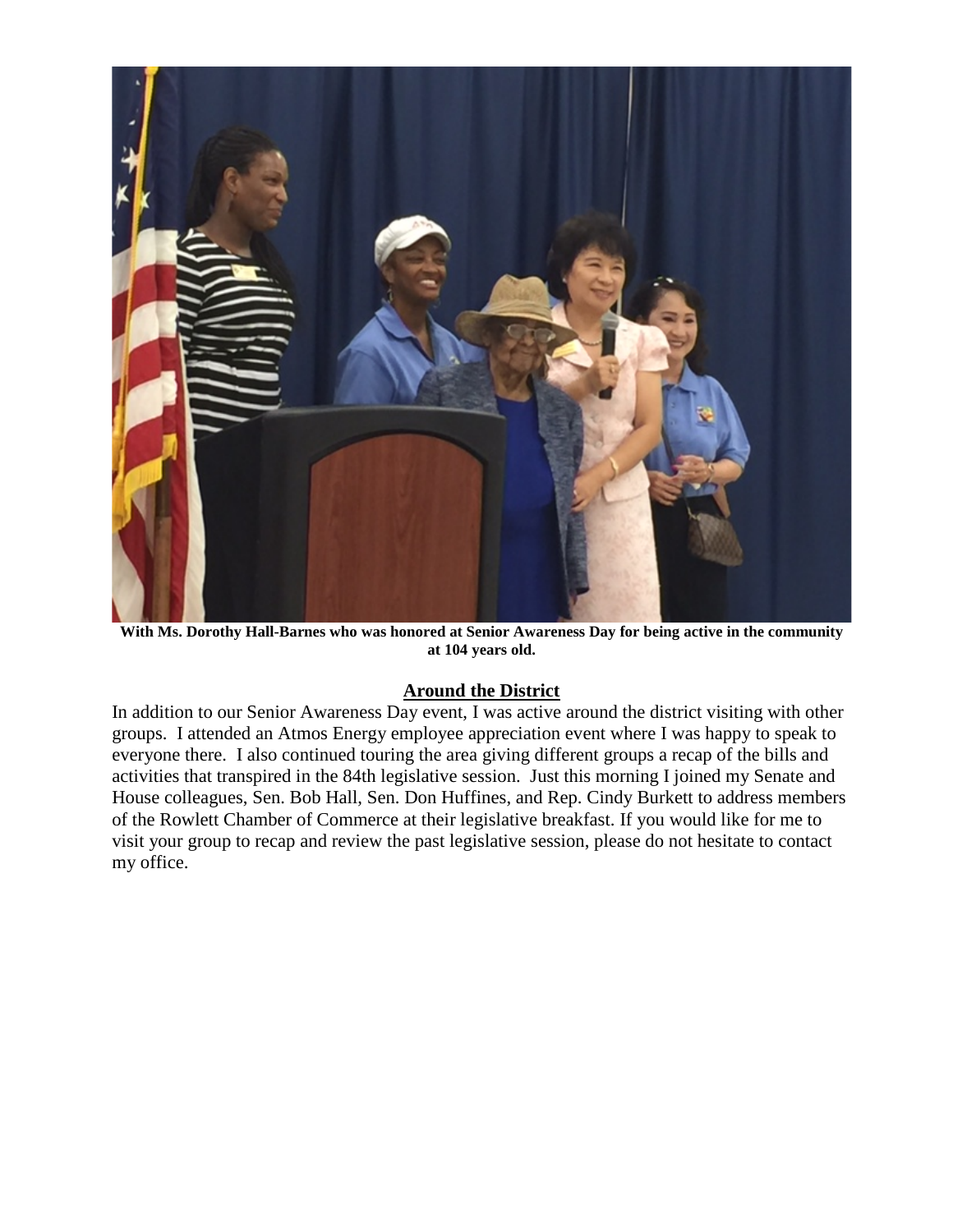

**With Ms. Dorothy Hall-Barnes who was honored at Senior Awareness Day for being active in the community at 104 years old.**

## **Around the District**

In addition to our Senior Awareness Day event, I was active around the district visiting with other groups. I attended an Atmos Energy employee appreciation event where I was happy to speak to everyone there. I also continued touring the area giving different groups a recap of the bills and activities that transpired in the 84th legislative session. Just this morning I joined my Senate and House colleagues, Sen. Bob Hall, Sen. Don Huffines, and Rep. Cindy Burkett to address members of the Rowlett Chamber of Commerce at their legislative breakfast. If you would like for me to visit your group to recap and review the past legislative session, please do not hesitate to contact my office.